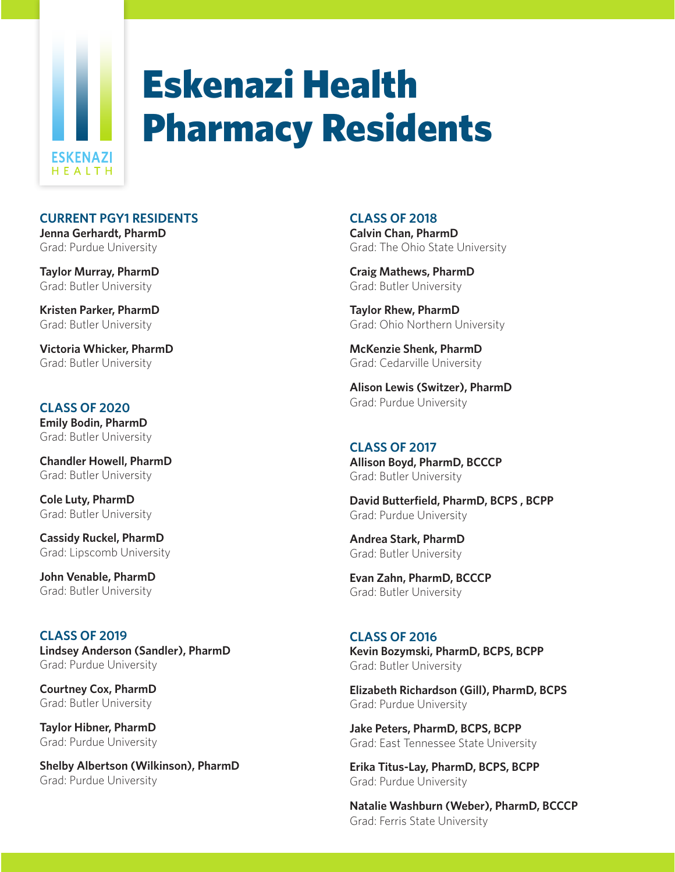

# Eskenazi Health Pharmacy Residents

## **CURRENT PGY1 RESIDENTS**

**Jenna Gerhardt, PharmD** Grad: Purdue University

**Taylor Murray, PharmD** Grad: Butler University

**Kristen Parker, PharmD** Grad: Butler University

**Victoria Whicker, PharmD** Grad: Butler University

## **CLASS OF 2020**

**Emily Bodin, PharmD** Grad: Butler University

**Chandler Howell, PharmD** Grad: Butler University

**Cole Luty, PharmD** Grad: Butler University

**Cassidy Ruckel, PharmD** Grad: Lipscomb University

**John Venable, PharmD** Grad: Butler University

**CLASS OF 2019 Lindsey Anderson (Sandler), PharmD** Grad: Purdue University

**Courtney Cox, PharmD** Grad: Butler University

**Taylor Hibner, PharmD** Grad: Purdue University

**Shelby Albertson (Wilkinson), PharmD** Grad: Purdue University

## **CLASS OF 2018**

**Calvin Chan, PharmD** Grad: The Ohio State University

**Craig Mathews, PharmD** Grad: Butler University

**Taylor Rhew, PharmD** Grad: Ohio Northern University

**McKenzie Shenk, PharmD** Grad: Cedarville University

**Alison Lewis (Switzer), PharmD** Grad: Purdue University

## **CLASS OF 2017**

**Allison Boyd, PharmD, BCCCP** Grad: Butler University

**David Butterfield, PharmD, BCPS , BCPP** Grad: Purdue University

**Andrea Stark, PharmD** Grad: Butler University

**Evan Zahn, PharmD, BCCCP** Grad: Butler University

### **CLASS OF 2016 Kevin Bozymski, PharmD, BCPS, BCPP** Grad: Butler University

**Elizabeth Richardson (Gill), PharmD, BCPS** Grad: Purdue University

**Jake Peters, PharmD, BCPS, BCPP** Grad: East Tennessee State University

**Erika Titus-Lay, PharmD, BCPS, BCPP** Grad: Purdue University

**Natalie Washburn (Weber), PharmD, BCCCP** Grad: Ferris State University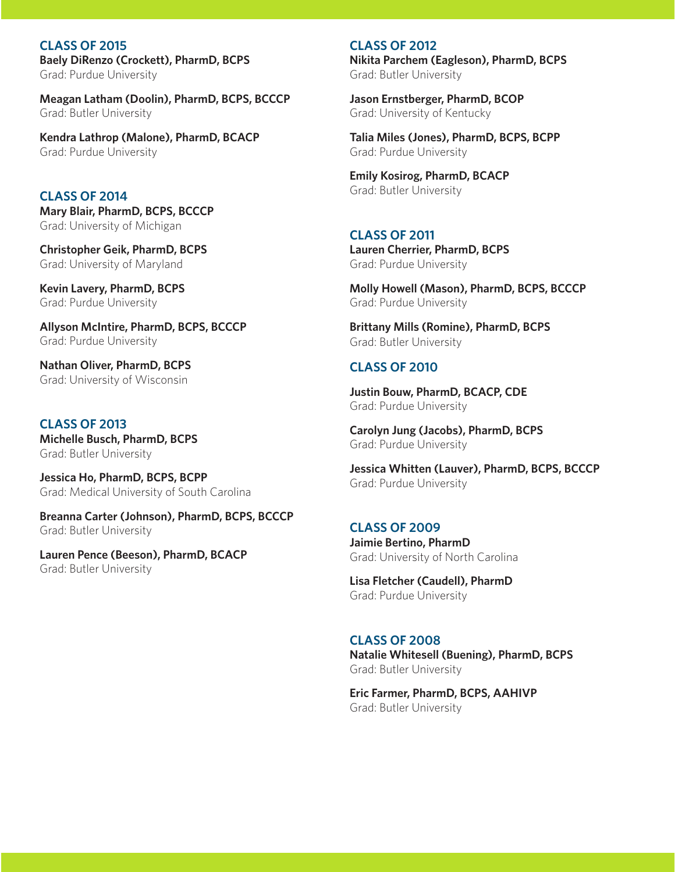**CLASS OF 2015 Baely DiRenzo (Crockett), PharmD, BCPS** Grad: Purdue University

**Meagan Latham (Doolin), PharmD, BCPS, BCCCP** Grad: Butler University

**Kendra Lathrop (Malone), PharmD, BCACP** Grad: Purdue University

**CLASS OF 2014 Mary Blair, PharmD, BCPS, BCCCP** Grad: University of Michigan

**Christopher Geik, PharmD, BCPS** Grad: University of Maryland

**Kevin Lavery, PharmD, BCPS** Grad: Purdue University

**Allyson McIntire, PharmD, BCPS, BCCCP** Grad: Purdue University

**Nathan Oliver, PharmD, BCPS** Grad: University of Wisconsin

**CLASS OF 2013 Michelle Busch, PharmD, BCPS** Grad: Butler University

**Jessica Ho, PharmD, BCPS, BCPP** Grad: Medical University of South Carolina

**Breanna Carter (Johnson), PharmD, BCPS, BCCCP** Grad: Butler University

**Lauren Pence (Beeson), PharmD, BCACP** Grad: Butler University

#### **CLASS OF 2012**

**Nikita Parchem (Eagleson), PharmD, BCPS** Grad: Butler University

**Jason Ernstberger, PharmD, BCOP** Grad: University of Kentucky

**Talia Miles (Jones), PharmD, BCPS, BCPP** Grad: Purdue University

**Emily Kosirog, PharmD, BCACP** Grad: Butler University

# **CLASS OF 2011**

**Lauren Cherrier, PharmD, BCPS** Grad: Purdue University

**Molly Howell (Mason), PharmD, BCPS, BCCCP** Grad: Purdue University

**Brittany Mills (Romine), PharmD, BCPS** Grad: Butler University

## **CLASS OF 2010**

**Justin Bouw, PharmD, BCACP, CDE** Grad: Purdue University

**Carolyn Jung (Jacobs), PharmD, BCPS** Grad: Purdue University

**Jessica Whitten (Lauver), PharmD, BCPS, BCCCP** Grad: Purdue University

## **CLASS OF 2009 Jaimie Bertino, PharmD**  Grad: University of North Carolina

**Lisa Fletcher (Caudell), PharmD**  Grad: Purdue University

## **CLASS OF 2008**

**Natalie Whitesell (Buening), PharmD, BCPS** Grad: Butler University

**Eric Farmer, PharmD, BCPS, AAHIVP** Grad: Butler University